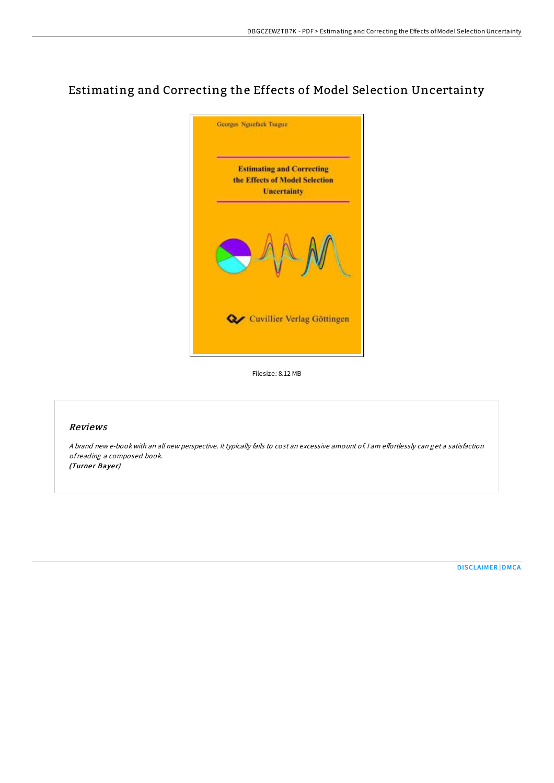# Estimating and Correcting the Effects of Model Selection Uncertainty



Filesize: 8.12 MB

# Reviews

A brand new e-book with an all new perspective. It typically fails to cost an excessive amount of. I am effortlessly can get a satisfaction ofreading <sup>a</sup> composed book. (Turner Bayer)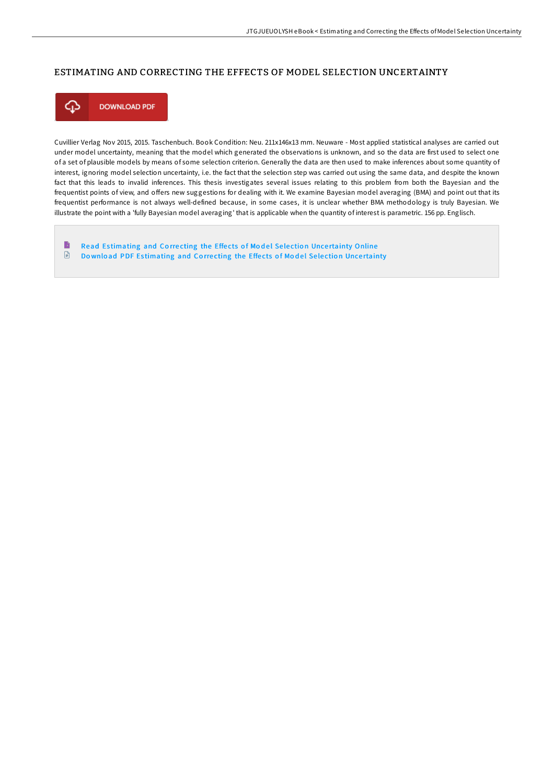# ESTIMATING AND CORRECTING THE EFFECTS OF MODEL SELECTION UNCERTAINTY



Cuvillier Verlag Nov 2015, 2015. Taschenbuch. Book Condition: Neu. 211x146x13 mm. Neuware - Most applied statistical analyses are carried out under model uncertainty, meaning that the model which generated the observations is unknown, and so the data are first used to select one of a set of plausible models by means of some selection criterion. Generally the data are then used to make inferences about some quantity of interest, ignoring model selection uncertainty, i.e. the fact that the selection step was carried out using the same data, and despite the known fact that this leads to invalid inferences. This thesis investigates several issues relating to this problem from both the Bayesian and the frequentist points of view, and oFers new suggestions for dealing with it. We examine Bayesian model averaging (BMA) and point out that its frequentist performance is not always well-defined because, in some cases, it is unclear whether BMA methodology is truly Bayesian. We illustrate the point with a 'fully Bayesian model averaging' that is applicable when the quantity of interest is parametric. 156 pp. Englisch.

B Read Es[timating](http://almighty24.tech/estimating-and-correcting-the-effects-of-model-s.html) and Correcting the Effects of Model Selection Uncertainty Online  $\textcolor{red}{\blacksquare}$ Do wnload PDF Es[timating](http://almighty24.tech/estimating-and-correcting-the-effects-of-model-s.html) and Correcting the Effects of Model Selection Uncertainty